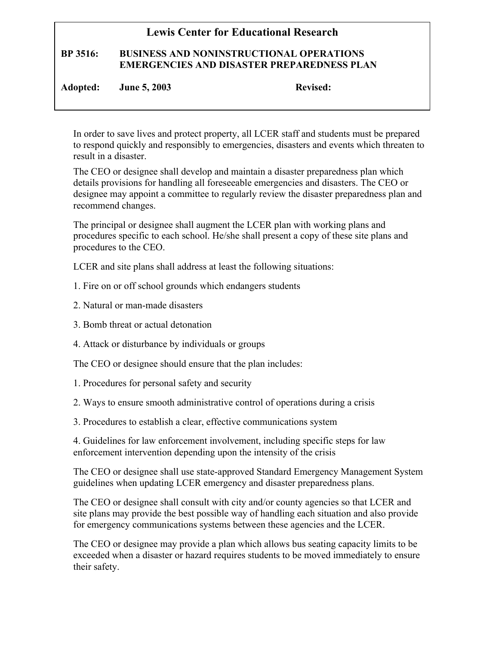## **Lewis Center for Educational Research**

## **BP 3516: BUSINESS AND NONINSTRUCTIONAL OPERATIONS EMERGENCIES AND DISASTER PREPAREDNESS PLAN**

**Adopted: June 5, 2003 Revised:** 

In order to save lives and protect property, all LCER staff and students must be prepared to respond quickly and responsibly to emergencies, disasters and events which threaten to result in a disaster.

The CEO or designee shall develop and maintain a disaster preparedness plan which details provisions for handling all foreseeable emergencies and disasters. The CEO or designee may appoint a committee to regularly review the disaster preparedness plan and recommend changes.

The principal or designee shall augment the LCER plan with working plans and procedures specific to each school. He/she shall present a copy of these site plans and procedures to the CEO.

LCER and site plans shall address at least the following situations:

- 1. Fire on or off school grounds which endangers students
- 2. Natural or man-made disasters
- 3. Bomb threat or actual detonation
- 4. Attack or disturbance by individuals or groups

The CEO or designee should ensure that the plan includes:

- 1. Procedures for personal safety and security
- 2. Ways to ensure smooth administrative control of operations during a crisis
- 3. Procedures to establish a clear, effective communications system

4. Guidelines for law enforcement involvement, including specific steps for law enforcement intervention depending upon the intensity of the crisis

The CEO or designee shall use state-approved Standard Emergency Management System guidelines when updating LCER emergency and disaster preparedness plans.

The CEO or designee shall consult with city and/or county agencies so that LCER and site plans may provide the best possible way of handling each situation and also provide for emergency communications systems between these agencies and the LCER.

The CEO or designee may provide a plan which allows bus seating capacity limits to be exceeded when a disaster or hazard requires students to be moved immediately to ensure their safety.